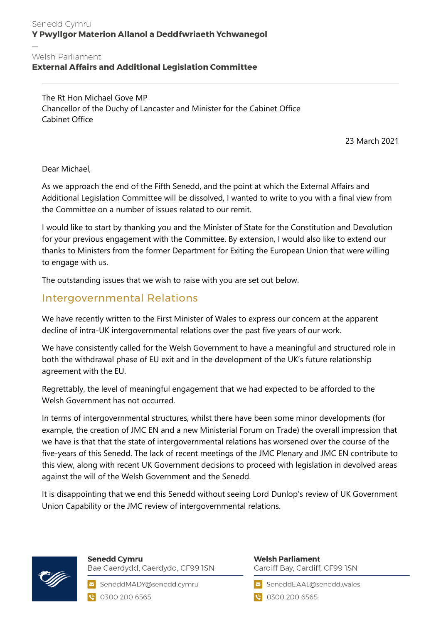### Senedd Cymru Y Pwyllgor Materion Allanol a Deddfwriaeth Ychwanegol

#### Welsh Parliament

### **External Affairs and Additional Legislation Committee**

The Rt Hon Michael Gove MP Chancellor of the Duchy of Lancaster and Minister for the Cabinet Office Cabinet Office

23 March 2021

Dear Michael,

As we approach the end of the Fifth Senedd, and the point at which the External Affairs and Additional Legislation Committee will be dissolved, I wanted to write to you with a final view from the Committee on a number of issues related to our remit.

I would like to start by thanking you and the Minister of State for the Constitution and Devolution for your previous engagement with the Committee. By extension, I would also like to extend our thanks to Ministers from the former Department for Exiting the European Union that were willing to engage with us.

The outstanding issues that we wish to raise with you are set out below.

## Intergovernmental Relations

We have recently written to the First Minister of Wales to express our concern at the apparent decline of intra-UK intergovernmental relations over the past five years of our work.

We have consistently called for the Welsh Government to have a meaningful and structured role in both the withdrawal phase of EU exit and in the development of the UK's future relationship agreement with the EU.

Regrettably, the level of meaningful engagement that we had expected to be afforded to the Welsh Government has not occurred.

In terms of intergovernmental structures, whilst there have been some minor developments (for example, the creation of JMC EN and a new Ministerial Forum on Trade) the overall impression that we have is that that the state of intergovernmental relations has worsened over the course of the five-years of this Senedd. The lack of recent meetings of the JMC Plenary and JMC EN contribute to this view, along with recent UK Government decisions to proceed with legislation in devolved areas against the will of the Welsh Government and the Senedd.

It is disappointing that we end this Senedd without seeing Lord Dunlop's review of UK Government Union Capability or the JMC review of intergovernmental relations.



**Senedd Cymru** Bae Caerdydd, Caerdydd, CF99 ISN

SeneddMADY@senedd.cymru C 0300 200 6565

**Welsh Parliament** Cardiff Bay, Cardiff, CF99 ISN

SeneddEAAL@senedd.wales

**@** 0300 200 6565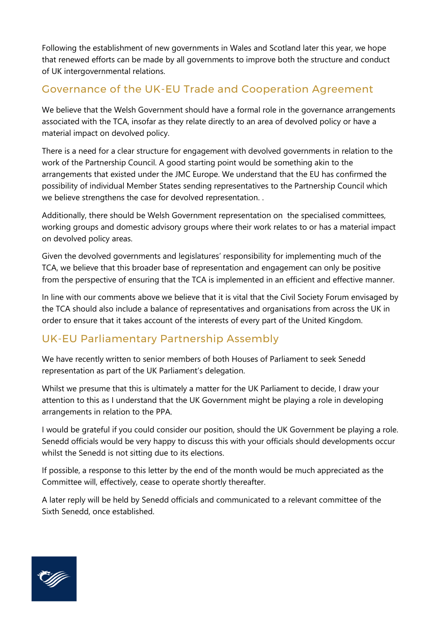Following the establishment of new governments in Wales and Scotland later this year, we hope that renewed efforts can be made by all governments to improve both the structure and conduct of UK intergovernmental relations.

# Governance of the UK-EU Trade and Cooperation Agreement

We believe that the Welsh Government should have a formal role in the governance arrangements associated with the TCA, insofar as they relate directly to an area of devolved policy or have a material impact on devolved policy.

There is a need for a clear structure for engagement with devolved governments in relation to the work of the Partnership Council. A good starting point would be something akin to the arrangements that existed under the JMC Europe. We understand that the EU has confirmed the possibility of individual Member States sending representatives to the Partnership Council which we believe strengthens the case for devolved representation. .

Additionally, there should be Welsh Government representation on the specialised committees, working groups and domestic advisory groups where their work relates to or has a material impact on devolved policy areas.

Given the devolved governments and legislatures' responsibility for implementing much of the TCA, we believe that this broader base of representation and engagement can only be positive from the perspective of ensuring that the TCA is implemented in an efficient and effective manner.

In line with our comments above we believe that it is vital that the Civil Society Forum envisaged by the TCA should also include a balance of representatives and organisations from across the UK in order to ensure that it takes account of the interests of every part of the United Kingdom.

# UK-EU Parliamentary Partnership Assembly

We have recently written to senior members of both Houses of Parliament to seek Senedd representation as part of the UK Parliament's delegation.

Whilst we presume that this is ultimately a matter for the UK Parliament to decide, I draw your attention to this as I understand that the UK Government might be playing a role in developing arrangements in relation to the PPA.

I would be grateful if you could consider our position, should the UK Government be playing a role. Senedd officials would be very happy to discuss this with your officials should developments occur whilst the Senedd is not sitting due to its elections.

If possible, a response to this letter by the end of the month would be much appreciated as the Committee will, effectively, cease to operate shortly thereafter.

A later reply will be held by Senedd officials and communicated to a relevant committee of the Sixth Senedd, once established.